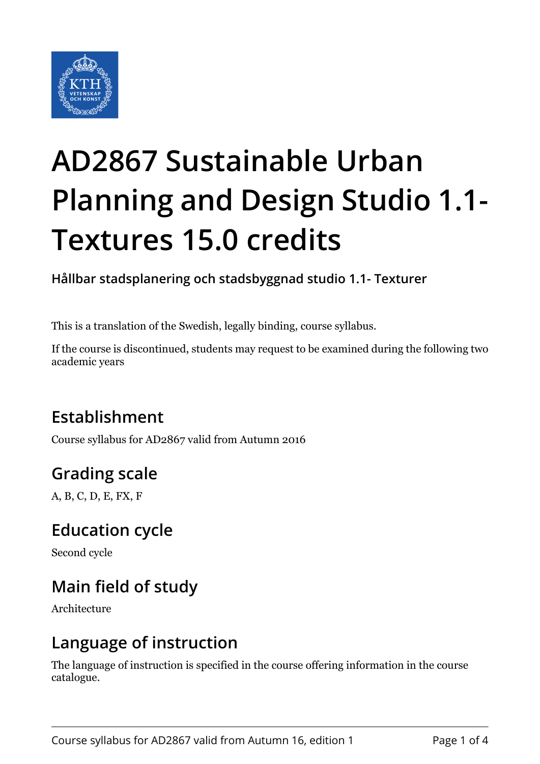

# **AD2867 Sustainable Urban Planning and Design Studio 1.1- Textures 15.0 credits**

**Hållbar stadsplanering och stadsbyggnad studio 1.1- Texturer**

This is a translation of the Swedish, legally binding, course syllabus.

If the course is discontinued, students may request to be examined during the following two academic years

# **Establishment**

Course syllabus for AD2867 valid from Autumn 2016

# **Grading scale**

A, B, C, D, E, FX, F

### **Education cycle**

Second cycle

# **Main field of study**

Architecture

### **Language of instruction**

The language of instruction is specified in the course offering information in the course catalogue.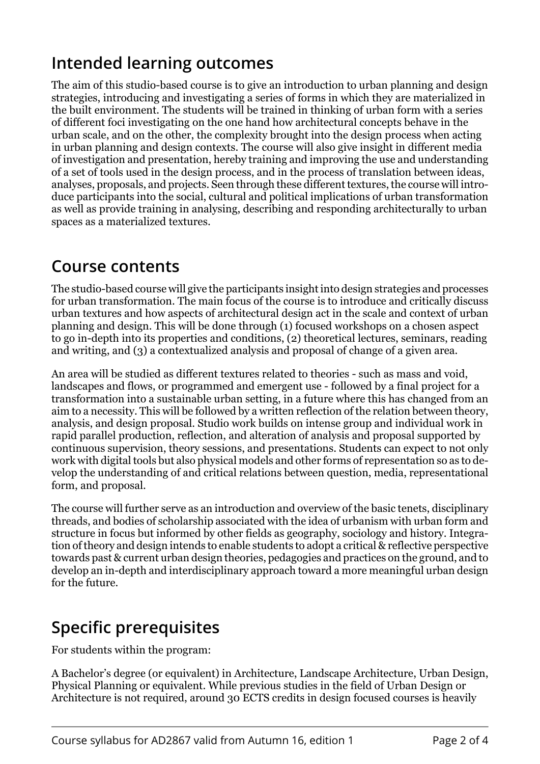# **Intended learning outcomes**

The aim of this studio-based course is to give an introduction to urban planning and design strategies, introducing and investigating a series of forms in which they are materialized in the built environment. The students will be trained in thinking of urban form with a series of different foci investigating on the one hand how architectural concepts behave in the urban scale, and on the other, the complexity brought into the design process when acting in urban planning and design contexts. The course will also give insight in different media of investigation and presentation, hereby training and improving the use and understanding of a set of tools used in the design process, and in the process of translation between ideas, analyses, proposals, and projects. Seen through these different textures, the course will introduce participants into the social, cultural and political implications of urban transformation as well as provide training in analysing, describing and responding architecturally to urban spaces as a materialized textures.

## **Course contents**

The studio-based course will give the participants insight into design strategies and processes for urban transformation. The main focus of the course is to introduce and critically discuss urban textures and how aspects of architectural design act in the scale and context of urban planning and design. This will be done through (1) focused workshops on a chosen aspect to go in-depth into its properties and conditions, (2) theoretical lectures, seminars, reading and writing, and (3) a contextualized analysis and proposal of change of a given area.

An area will be studied as different textures related to theories - such as mass and void, landscapes and flows, or programmed and emergent use - followed by a final project for a transformation into a sustainable urban setting, in a future where this has changed from an aim to a necessity. This will be followed by a written reflection of the relation between theory, analysis, and design proposal. Studio work builds on intense group and individual work in rapid parallel production, reflection, and alteration of analysis and proposal supported by continuous supervision, theory sessions, and presentations. Students can expect to not only work with digital tools but also physical models and other forms of representation so as to develop the understanding of and critical relations between question, media, representational form, and proposal.

The course will further serve as an introduction and overview of the basic tenets, disciplinary threads, and bodies of scholarship associated with the idea of urbanism with urban form and structure in focus but informed by other fields as geography, sociology and history. Integration of theory and design intends to enable students to adopt a critical & reflective perspective towards past & current urban design theories, pedagogies and practices on the ground, and to develop an in-depth and interdisciplinary approach toward a more meaningful urban design for the future.

# **Specific prerequisites**

For students within the program:

A Bachelor's degree (or equivalent) in Architecture, Landscape Architecture, Urban Design, Physical Planning or equivalent. While previous studies in the field of Urban Design or Architecture is not required, around 30 ECTS credits in design focused courses is heavily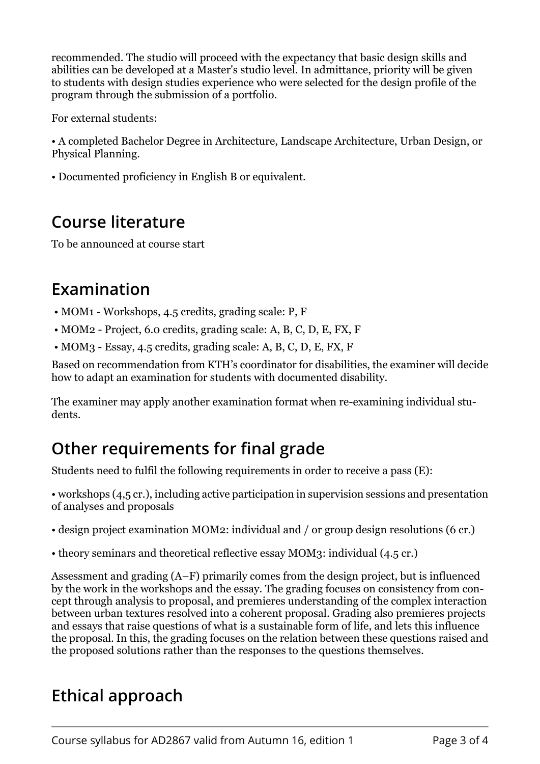recommended. The studio will proceed with the expectancy that basic design skills and abilities can be developed at a Master's studio level. In admittance, priority will be given to students with design studies experience who were selected for the design profile of the program through the submission of a portfolio.

For external students:

• A completed Bachelor Degree in Architecture, Landscape Architecture, Urban Design, or Physical Planning.

• Documented proficiency in English B or equivalent.

## **Course literature**

To be announced at course start

### **Examination**

- MOM1 Workshops, 4.5 credits, grading scale: P, F
- MOM2 Project, 6.0 credits, grading scale: A, B, C, D, E, FX, F
- MOM3 Essay, 4.5 credits, grading scale: A, B, C, D, E, FX, F

Based on recommendation from KTH's coordinator for disabilities, the examiner will decide how to adapt an examination for students with documented disability.

The examiner may apply another examination format when re-examining individual students.

# **Other requirements for final grade**

Students need to fulfil the following requirements in order to receive a pass (E):

• workshops (4,5 cr.), including active participation in supervision sessions and presentation of analyses and proposals

- design project examination MOM2: individual and / or group design resolutions (6 cr.)
- theory seminars and theoretical reflective essay MOM3: individual (4.5 cr.)

Assessment and grading (A–F) primarily comes from the design project, but is influenced by the work in the workshops and the essay. The grading focuses on consistency from concept through analysis to proposal, and premieres understanding of the complex interaction between urban textures resolved into a coherent proposal. Grading also premieres projects and essays that raise questions of what is a sustainable form of life, and lets this influence the proposal. In this, the grading focuses on the relation between these questions raised and the proposed solutions rather than the responses to the questions themselves.

# **Ethical approach**